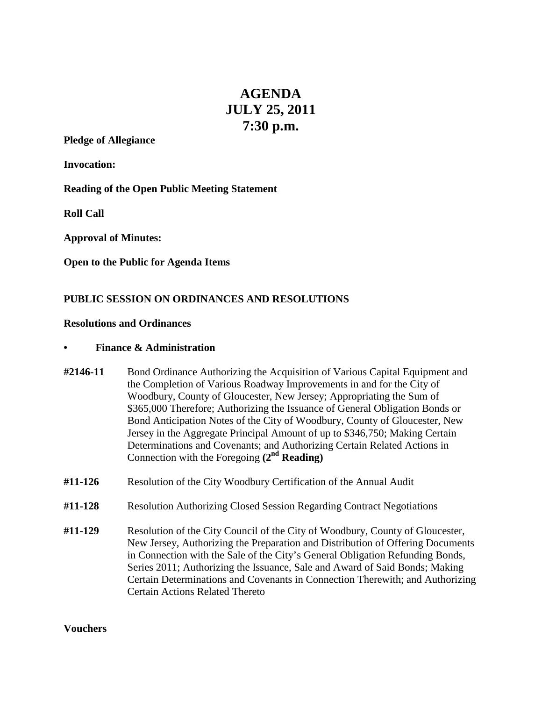# **AGENDA JULY 25, 2011 7:30 p.m.**

#### **Pledge of Allegiance**

**Invocation:**

**Reading of the Open Public Meeting Statement**

**Roll Call**

**Approval of Minutes:**

**Open to the Public for Agenda Items**

## **PUBLIC SESSION ON ORDINANCES AND RESOLUTIONS**

#### **Resolutions and Ordinances**

## **• Finance & Administration**

- **#2146-11** Bond Ordinance Authorizing the Acquisition of Various Capital Equipment and the Completion of Various Roadway Improvements in and for the City of Woodbury, County of Gloucester, New Jersey; Appropriating the Sum of \$365,000 Therefore; Authorizing the Issuance of General Obligation Bonds or Bond Anticipation Notes of the City of Woodbury, County of Gloucester, New Jersey in the Aggregate Principal Amount of up to \$346,750; Making Certain Determinations and Covenants; and Authorizing Certain Related Actions in Connection with the Foregoing **(2nd Reading)**
- **#11-126** Resolution of the City Woodbury Certification of the Annual Audit
- **#11-128** Resolution Authorizing Closed Session Regarding Contract Negotiations
- **#11-129** Resolution of the City Council of the City of Woodbury, County of Gloucester, New Jersey, Authorizing the Preparation and Distribution of Offering Documents in Connection with the Sale of the City's General Obligation Refunding Bonds, Series 2011; Authorizing the Issuance, Sale and Award of Said Bonds; Making Certain Determinations and Covenants in Connection Therewith; and Authorizing Certain Actions Related Thereto

## **Vouchers**